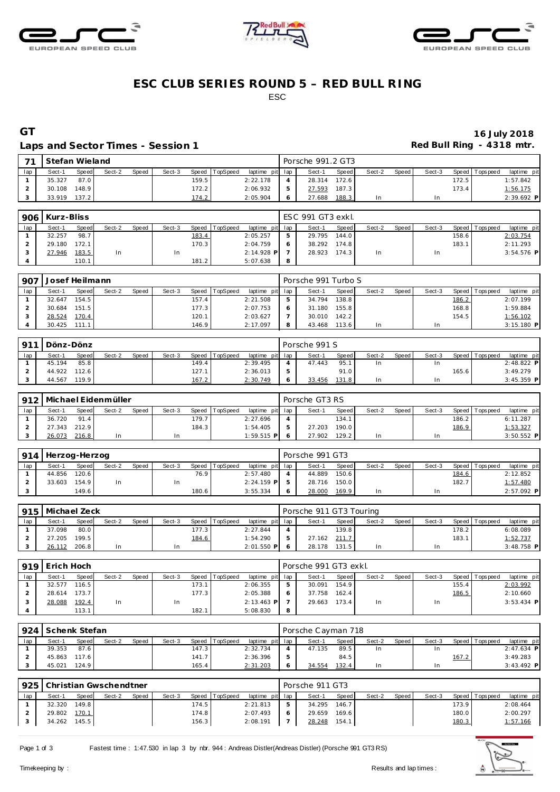





## **ESC CLUB SERIES ROUND 5 – RED BULL RING** ESC

#### Laps and Sector Times - Session 1 **Red Bull Ring - 4318 mtr. Red Bull Ring - 4318 mtr.**

# **GT 16 July 2018**

| $\overline{\phantom{a}}$ |        | Stefan Wieland<br>Speed TopSpeed<br><b>Speed</b><br>Sect-2<br>Sect-3<br><b>Speed</b><br>87.0<br>159.5<br>148.9<br>172.2 |  |  |  |       |  |                 |   | Porsche 991.2 GT3 |       |        |       |        |       |                 |              |
|--------------------------|--------|-------------------------------------------------------------------------------------------------------------------------|--|--|--|-------|--|-----------------|---|-------------------|-------|--------|-------|--------|-------|-----------------|--------------|
| lap                      | Sect-1 |                                                                                                                         |  |  |  |       |  | laptime pit lap |   | Sect-1            | Speed | Sect-2 | Speed | Sect-3 |       | Speed Tops peed | laptime pit  |
|                          | 35.327 |                                                                                                                         |  |  |  |       |  | 2:22.178        |   | 28.314            | 172.6 |        |       |        | 172.5 |                 | 1:57.842     |
|                          | 30.108 |                                                                                                                         |  |  |  |       |  | 2:06.932        |   | 27.593            | 187.3 |        |       |        | 173.4 |                 | 1:56.175     |
|                          | 33.919 | 137.2                                                                                                                   |  |  |  | 174.2 |  | 2:05.904        | O | 27.688            | 188.3 | In     |       | In     |       |                 | $2:39.692$ P |

|     | 906   Kurz-Bliss |       |        |       |        |       |                  |                 |    | ESC 991 GT3 exkl. |         |        |         |        |       |                 |              |
|-----|------------------|-------|--------|-------|--------|-------|------------------|-----------------|----|-------------------|---------|--------|---------|--------|-------|-----------------|--------------|
| lap | Sect-1           | Speed | Sect-2 | Speed | Sect-3 |       | Speed   TopSpeed | laptime pit lap |    | Sect-1            | Speed I | Sect-2 | Speed I | Sect-3 |       | Speed Tops peed | laptime pit  |
|     | 32.257           | 98.7  |        |       |        | 183.4 |                  | 2:05.257        | b. | 29.795 144.0      |         |        |         |        | 158.6 |                 | 2:03.754     |
|     | 29.180           | 172.1 |        |       |        | 170.3 |                  | 2:04.759        | O  | 38.292 174.8      |         |        |         |        | 183.1 |                 | 2:11.293     |
|     | 27.946           | 183.5 | In     |       | 1n     |       |                  | $2:14.928$ P    |    | 28.923            | 174.3   | In.    |         |        |       |                 | $3:54.576$ P |
|     |                  | 110.1 |        |       |        | 181.2 |                  | 5:07.638        | 8  |                   |         |        |         |        |       |                 |              |

| 907 | Josef Heilmann |       |        |              |        |                |                 | Porsche 991 Turbo S |       |        |       |        |       |                 |             |
|-----|----------------|-------|--------|--------------|--------|----------------|-----------------|---------------------|-------|--------|-------|--------|-------|-----------------|-------------|
| lap | Sect-1         | Speed | Sect-2 | <b>Speed</b> | Sect-3 | Speed TopSpeed | laptime pit lap | Sect-1              | Speed | Sect-2 | Speed | Sect-3 |       | Speed Tops peed | laptime pit |
|     | 32.647         | 154.5 |        |              | 157.4  |                | 2:21.508        | 34.794              | 138.8 |        |       |        | 186.2 |                 | 2:07.199    |
|     | 30.684         | 151.5 |        |              |        | 177.3          | 2:07.753        | 31.180              | 155.8 |        |       |        | 168.8 |                 | 1:59.884    |
|     | 28.524         | 170.4 |        |              | 120.1  |                | 2:03.627        | 30.010              | 142.2 |        |       |        | 154.5 |                 | 1:56.102    |
|     | 30.425         | 111.1 |        |              |        | 146.9          | 2:17.097        | 43.468              | 113.6 | In     |       | In.    |       |                 | 3:15.180 P  |

| Q11 | Dönz-Dönz |              |        |       |        |       |          |                 |    | Porsche 991 S |              |        |       |        |        |                |              |
|-----|-----------|--------------|--------|-------|--------|-------|----------|-----------------|----|---------------|--------------|--------|-------|--------|--------|----------------|--------------|
| lap | Sect-1    | <b>Speed</b> | Sect-2 | Speed | Sect-3 | Speed | TopSpeed | laptime pit lap |    | Sect-1        | <b>Speed</b> | Sect-2 | Speed | Sect-3 |        | Speed Topspeed | laptime pit  |
|     | 45.194    | 85.8         |        |       |        | 149.4 |          | 2:39.495        |    | 47.443        | 95.          | In     |       |        |        |                | $2:48.822$ P |
|     | 44.922    | 112.6        |        |       |        | 127.1 |          | 2:36.013        | b. |               | 91.0         |        |       |        | 165.61 |                | 3:49.279     |
|     | 44.567    | 119.9        |        |       |        | 167.2 |          | 2:30.749        | O  | 33.456        | 131.8        | In     |       | In.    |        |                | $3:45.359$ P |

| 912 |        |              | Michael Eidenmüller |              |        |       |                |                 | Porsche GT3 RS |       |        |       |        |       |                   |              |
|-----|--------|--------------|---------------------|--------------|--------|-------|----------------|-----------------|----------------|-------|--------|-------|--------|-------|-------------------|--------------|
| lap | Sect-1 | <b>Speed</b> | Sect-2              | <b>Speed</b> | Sect-3 |       | Speed TopSpeed | laptime pit lap | Sect-1         | Speed | Sect-2 | Speed | Sect-3 |       | Speed   Tops peed | laptime pit  |
|     | 36.720 | 91.4         |                     |              |        | 179.7 |                | 2:27.696        |                | 134.1 |        |       |        | 186.2 |                   | 6:11.287     |
|     | 27.343 | 212.9        |                     |              |        | 184.3 |                | 1:54.405        | 27.203         | 190.0 |        |       |        | 186.9 |                   | 1:53.327     |
|     | 26.073 | 216.8        | In                  |              | In     |       |                | $1:59.515$ P    | 27.902         | 129.2 | In     |       | In     |       |                   | $3:50.552$ P |

| 914 | Herzog-Herzog |       |        |       |        |       |                |                 |                | Porsche 991 GT3 |       |        |         |        |       |                 |             |
|-----|---------------|-------|--------|-------|--------|-------|----------------|-----------------|----------------|-----------------|-------|--------|---------|--------|-------|-----------------|-------------|
|     | Sect-1        | Speed | Sect-2 | Speed | Sect-3 |       | Speed TopSpeed | laptime pit lap |                | Sect-1          | Speed | Sect-2 | Speed I | Sect-3 |       | Speed Tops peed | laptime pit |
|     | 44.856 120.6  |       |        |       |        | 76.9  |                | 2:57.480        |                | 44.889          | 150.6 |        |         |        | 184.6 |                 | 2:12.852    |
|     | 33.603        | 154.9 | In     |       | 1n     |       |                | $2:24.159$ P    |                | 28.716 150.0    |       |        |         |        | 182.7 |                 | 1:57.480    |
|     |               | 149.6 |        |       |        | 180.6 |                | 3:55.334        | $\ddot{\circ}$ | 28.000          | 169.9 | In     |         | In     |       |                 | 2:57.092 P  |

|     | 915   Michael Zeck |              |        |       |        |       |                |                 | Porsche 911 GT3 Touring |       |        |       |        |       |                |              |
|-----|--------------------|--------------|--------|-------|--------|-------|----------------|-----------------|-------------------------|-------|--------|-------|--------|-------|----------------|--------------|
| lap | Sect-1             | <b>Speed</b> | Sect-2 | Speed | Sect-3 |       | Speed TopSpeed | laptime pit lap | Sect-1                  | Speed | Sect-2 | Speed | Sect-3 |       | Speed Topspeed | laptime pit  |
|     | 37.098             | 80.0         |        |       |        | 177.3 |                | 2:27.844        |                         | 139.8 |        |       |        | 178.2 |                | 6:08.089     |
|     | 27.205             | 199.5        |        |       |        | 184.6 |                | 1:54.290        | 27.162                  | 211.7 |        |       |        | 183.1 |                | 1:52.737     |
|     | 26.112             | 206.8        | In     |       | In     |       |                | $2:01.550$ PL 6 | 28.178                  | 131.5 | In     |       | ln.    |       |                | $3:48.758$ P |

|     | 919 Erich Hoch |                    |        |       |        |       |                 |                 |   | Porsche 991 GT3 exkl. |       |        |         |        |        |                 |              |
|-----|----------------|--------------------|--------|-------|--------|-------|-----------------|-----------------|---|-----------------------|-------|--------|---------|--------|--------|-----------------|--------------|
| lap | Sect-1         | Speed              | Sect-2 | Speed | Sect-3 | Speed | <b>TopSpeed</b> | laptime pit lap |   | Sect-1                | Speed | Sect-2 | Speed I | Sect-3 |        | Speed Tops peed | laptime pit  |
|     | 32.577         | 116.5              |        |       |        | 173.1 |                 | 2:06.355        |   | 30.091                | 154.9 |        |         |        | 155.41 |                 | 2:03.992     |
|     | 28.614 173.7   |                    |        |       |        | 177.3 |                 | 2:05.388        |   | 37.758                | 162.4 |        |         |        | 186.5  |                 | 2:10.660     |
|     | 28.088         | 192.4              | In.    |       |        |       |                 | $2:13.463$ P    |   | 29.663                | 173.4 | In     |         | In     |        |                 | $3:53.434$ P |
|     |                | 113.1 <sub>1</sub> |        |       |        | 182.1 |                 | 5:08.830        | 8 |                       |       |        |         |        |        |                 |              |

|     | 924 Schenk Stefan |       |        |       |        |       |                |                 |            | Porsche Cayman 718 |       |        |       |        |       |                 |              |
|-----|-------------------|-------|--------|-------|--------|-------|----------------|-----------------|------------|--------------------|-------|--------|-------|--------|-------|-----------------|--------------|
| lap | Sect-1            | Speed | Sect-2 | Speed | Sect-3 |       | Speed TopSpeed | laptime pit lap |            | Sect-1             | Speed | Sect-2 | Speed | Sect-3 |       | Speed Tops peed | laptime pit  |
|     | 39.353            | 87.6  |        |       |        | 147.3 |                | 2:32.734        |            | 47.135             | 89.5  | In     |       |        |       |                 | $2:47.634$ P |
|     | 45.863            | 117.6 |        |       |        | 141.7 |                | 2:36.396        |            |                    | 84.5  |        |       |        | 167.2 |                 | 3:49.283     |
|     | 45.021            | 124.9 |        |       |        | 165.4 |                | 2:31.203        | $\epsilon$ | 34.554             | 132.4 | In     |       |        |       |                 | $3:43.492$ P |

| 925 |              |       | Christian Gwschendtner |       |        |       |                |                 | Porsche 911 GT3 |        |        |       |        |       |                 |             |
|-----|--------------|-------|------------------------|-------|--------|-------|----------------|-----------------|-----------------|--------|--------|-------|--------|-------|-----------------|-------------|
|     | Sect-1       | Speed | Sect-2                 | Speed | Sect-3 |       | Speed TopSpeed | laptime pit lap | Sect-1          | Speed  | Sect-2 | Speed | Sect-3 |       | Speed Tops peed | laptime pit |
|     | 32.320       | 149.8 |                        |       |        | 174.5 |                | 2:21.813        | 34.295 146.7    |        |        |       |        | 173.9 |                 | 2:08.464    |
|     | 29.802 170.1 |       |                        |       |        | 174.8 |                | 2:07.493        | 29.659          | 169.61 |        |       |        | 180.0 |                 | 2:00.297    |
|     | 34.262 145.5 |       |                        |       |        | 156.3 |                | 2:08.191        | 28.248          | 154.1  |        |       |        | 180.3 |                 | 1:57.166    |

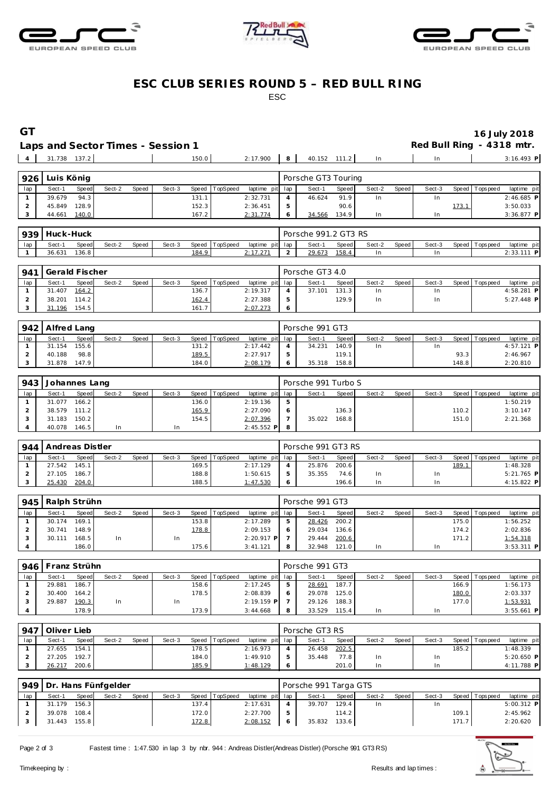





### **ESC CLUB SERIES ROUND 5 – RED BULL RING** ESC

**GT 16 July 2018 Laps Red Bull Ring - 4318 mtr.**<br>
<u>In also 3:16.493 in</u>

31.738 137.2 150.0 2:17.900 **8** 40.152 111.2 In In 3:16.493 **P**

|  |              | Laps and Sector Times - Session 1 |       |              |              |  |  |
|--|--------------|-----------------------------------|-------|--------------|--------------|--|--|
|  | 31.738 137.2 |                                   | 150.0 | $2:17.900$ 8 | 40.152 111.2 |  |  |
|  |              |                                   |       |              |              |  |  |

| 926 | Luis Könia |       |        |              |        |       |                |                 | Porsche GT3 Touring |       |        |       |        |       |                 |              |
|-----|------------|-------|--------|--------------|--------|-------|----------------|-----------------|---------------------|-------|--------|-------|--------|-------|-----------------|--------------|
| lap | Sect-1     | Speed | Sect-2 | <b>Speed</b> | Sect-3 |       | Speed TopSpeed | laptime pit lap | Sect-               | Speed | Sect-2 | Speed | Sect-3 |       | Speed Tops peed | laptime pit  |
|     | 39.679     | 94.3  |        |              |        | 131.1 |                | 2:32.731        | 46.624              | 91.9  | In     |       | In     |       |                 | $2:46.685$ P |
|     | 45.849     | 128.9 |        |              |        | 152.3 |                | 2:36.451        |                     | 90.6  |        |       |        | 173.1 |                 | 3:50.033     |
|     | 44.661     | 140.0 |        |              |        | 167.2 |                | 2:31.774        | 34.566              | 134.9 | In     |       | In.    |       |                 | 3:36.877 P   |

| 939 | Huck-Huck |       |        |       |        |       |                |         |         | Porsche 991.2 GT3 RS |       |        |       |        |                |                |
|-----|-----------|-------|--------|-------|--------|-------|----------------|---------|---------|----------------------|-------|--------|-------|--------|----------------|----------------|
| lap | Sect-1    | Speed | Sect-2 | Speed | Sect-3 |       | Speed TopSpeed | laptime | pit lap | Sect-1               | Speed | Sect-2 | Speed | Sect-3 | Speed Topspeed | pit<br>laptime |
|     | 36.631    | 136.8 |        |       |        | 184.9 |                | 2.17271 | -       | 79.61                | 158.  | ın     |       | In.    |                | 111 D          |

|     | 941 Gerald Fischer |       |        |       |        |                    |                |                 |            | Porsche GT3 4.0 |       |        |         |        |                 |              |  |
|-----|--------------------|-------|--------|-------|--------|--------------------|----------------|-----------------|------------|-----------------|-------|--------|---------|--------|-----------------|--------------|--|
| lap | Sect-1             | Speed | Sect-2 | Speed | Sect-3 |                    | Speed TopSpeed | laptime pit lap |            | Sect-1          | Speed | Sect-2 | Speed I | Sect-3 | Speed Tops peed | laptime pit  |  |
|     | 31.407             | 164.2 |        |       |        | 136.7              |                | 2:19.317        |            | 37.101          | 131.3 |        |         | In     |                 | 4:58.281 P   |  |
|     | 38.201             | 114.2 |        |       |        | 162.4              |                | 2:27.388        | -5         |                 | 129.9 |        |         | In.    |                 | $5:27.448$ P |  |
|     | 31.196             | 154.5 |        |       |        | 161.7 <sub>1</sub> |                | 2:07.273        | $\epsilon$ |                 |       |        |         |        |                 |              |  |

|     | 942   Alfred Lang |       |        |              |        |       |                |                 |    | Porsche 991 GT3 |       |        |       |        |       |                 |             |  |
|-----|-------------------|-------|--------|--------------|--------|-------|----------------|-----------------|----|-----------------|-------|--------|-------|--------|-------|-----------------|-------------|--|
| lap | Sect-1            | Speed | Sect-2 | <b>Speed</b> | Sect-3 |       | Speed TopSpeed | laptime pit lap |    | Sect-1          | Speed | Sect-2 | Speed | Sect-3 |       | Speed Tops peed | laptime pit |  |
|     | 31.154            | 155.6 |        |              |        | 131.2 |                | 2:17.442        | 4  | 34.231          | 140.9 | 1n     |       | In     |       |                 | 4:57.121 P  |  |
|     | 40.188            | 98.8  |        |              |        | 189.5 |                | 2:27.917        | b. |                 | 119.1 |        |       |        | 93.3  |                 | 2:46.967    |  |
|     | 31.878            | 147.9 |        |              |        | 184.0 |                | 2:08.179        | O  | 35.318          | 158.8 |        |       |        | 148.8 |                 | 2:20.810    |  |

| 943 | Johannes Lang |         |        |       |        |       |                |                 |    | Porsche 991 Turbo S |       |        |       |        |       |                 |             |
|-----|---------------|---------|--------|-------|--------|-------|----------------|-----------------|----|---------------------|-------|--------|-------|--------|-------|-----------------|-------------|
| lap | Sect-1        | Speed   | Sect-2 | Speed | Sect-3 |       | Speed TopSpeed | laptime pit lap |    | Sect-1              | Speed | Sect-2 | Speed | Sect-3 |       | Speed Tops peed | laptime pit |
|     | 31.077        | $166.2$ |        |       |        | 136.0 |                | 2:19.136        | -5 |                     |       |        |       |        |       |                 | 1:50.219    |
|     | 38.579 111.2  |         |        |       |        | 165.9 |                | 2:27.090        | -6 |                     | 136.3 |        |       |        | 110.2 |                 | 3:10.147    |
|     | 31.183        | 150.2   |        |       |        | 154.5 |                | 2:07.396        |    | 35.022              | 168.8 |        |       |        | 151.0 |                 | 2:21.368    |
|     | 40.078        | 146.5   | In     |       | In     |       |                | $2:45.552$ P 8  |    |                     |       |        |       |        |       |                 |             |

| 944 | Andreas Distler |       |        |       |        |       |          |                 | Porsche 991 GT3 RS |              |        |       |        |       |                 |              |
|-----|-----------------|-------|--------|-------|--------|-------|----------|-----------------|--------------------|--------------|--------|-------|--------|-------|-----------------|--------------|
| lap | Sect-1          | Speed | Sect-2 | Speed | Sect-3 | Speed | TopSpeed | laptime pit lap | Sect-1             | <b>Speed</b> | Sect-2 | Speed | Sect-3 |       | Speed Tops peed | laptime pit  |
|     | 27.542          | 145.1 |        |       |        | 169.5 |          | 2:17.129        | 25.876             | 200.6        |        |       |        | 189.1 |                 | 1:48.328     |
|     | 27.105          | 186.7 |        |       |        | 188.8 |          | 1:50.615        | 35.355             | 74.6         | In.    |       | In     |       |                 | $5:21.765$ P |
|     | 25.430          | 204.0 |        |       |        | 188.5 |          | 1:47.530        |                    | 196.6        | In     |       | In     |       |                 | 4:15.822 P   |

| 945 | Ralph Strühn |       |        |       |        |                    |                |                 |   | Porsche 991 GT3 |                    |        |       |        |       |                 |              |
|-----|--------------|-------|--------|-------|--------|--------------------|----------------|-----------------|---|-----------------|--------------------|--------|-------|--------|-------|-----------------|--------------|
| lap | Sect-1       | Speed | Sect-2 | Speed | Sect-3 |                    | Speed TopSpeed | laptime pit lap |   | Sect-1          | Speed              | Sect-2 | Speed | Sect-3 |       | Speed Tops peed | laptime pit  |
|     | 30.174       | 169.1 |        |       |        | 153.8              |                | 2:17.289        |   | 28.426          | 200.2              |        |       |        | 175.0 |                 | 1:56.252     |
|     | 30.741       | 148.9 |        |       |        | 178.8              |                | 2:09.153        |   | 29.034          | 136.6 <sub>1</sub> |        |       |        | 174.2 |                 | 2:02.836     |
|     | 30.111       | 168.5 | In     |       | In     |                    |                | $2:20.917$ P    |   | 29.444          | 200.6              |        |       |        | 171.2 |                 | 1:54.318     |
|     |              | 186.0 |        |       |        | 175.6 <sub>1</sub> |                | 3:41.121        | 8 | 32.948          | 121.0              | In     |       | In     |       |                 | $3:53.311$ P |

| 946 | Franz Strühn |       |        |       |        |       |                |                 |   | Porsche 991 GT3 |       |        |       |        |       |                |              |
|-----|--------------|-------|--------|-------|--------|-------|----------------|-----------------|---|-----------------|-------|--------|-------|--------|-------|----------------|--------------|
| lap | Sect-1       | Speed | Sect-2 | Speed | Sect-3 |       | Speed TopSpeed | laptime pit lap |   | Sect-1          | Speed | Sect-2 | Speed | Sect-3 |       | Speed Topspeed | laptime pit  |
|     | 29.881       | 186.7 |        |       |        | 158.6 |                | 2:17.245        |   | 28.691          | 187.7 |        |       |        | 166.9 |                | 1:56.173     |
|     | 30.400       | 164.2 |        |       |        | 178.5 |                | 2:08.839        |   | 29.078          | 125.0 |        |       |        | 180.0 |                | 2:03.337     |
|     | 29.887       | 190.3 | In     |       | In     |       |                | $2:19.159$ P    |   | 29.126          | 188.3 |        |       |        | 177.0 |                | 1:53.931     |
|     |              | 178.9 |        |       |        | 173.9 |                | 3:44.668        | 8 | 33.529          | 115.4 | In     |       | ln.    |       |                | $3:55.661$ P |

| 947 | Oliver Lieb |       |        |       |        |        |          |                 |               | Porsche GT3 RS |       |        |       |        |       |                 |              |
|-----|-------------|-------|--------|-------|--------|--------|----------|-----------------|---------------|----------------|-------|--------|-------|--------|-------|-----------------|--------------|
| lap | Sect-1      | Speed | Sect-2 | Speed | Sect-3 | Speed  | TopSpeed | laptime pit lap |               | Sect-1         | Speed | Sect-2 | Speed | Sect-3 |       | Speed Tops peed | laptime pit  |
|     | 27.655      | 154.1 |        |       |        | 178.51 |          | 2:16.973        |               | 26.458         | 202.5 |        |       |        | 185.2 |                 | 1:48.339     |
|     | 27.205      | 192.7 |        |       |        | 184.0  |          | 1:49.910        | $\mathcal{P}$ | 35.448         | 77.8  | In     |       | ln.    |       |                 | $5:20.650$ P |
|     | 26.217      | 200.6 |        |       |        | 185.9  |          | 1:48.129        |               |                | 201.0 | In     |       | In.    |       |                 | 4:11.788 P   |

|     | 949 Dr. Hans Fünfgelder |       |        |       |        |       |                |                 |                | Porsche 991 Targa GTS |       |        |       |        |       |                |              |  |
|-----|-------------------------|-------|--------|-------|--------|-------|----------------|-----------------|----------------|-----------------------|-------|--------|-------|--------|-------|----------------|--------------|--|
| lap | Sect-1                  | Speed | Sect-2 | Speed | Sect-3 |       | Speed TopSpeed | laptime pit lap |                | Sect-1                | Speed | Sect-2 | Speed | Sect-3 |       | Speed Topspeed | laptime pit  |  |
|     | 31.179                  | 156.3 |        |       |        | 137.4 |                | 2:17.631        | $\overline{A}$ | 39.707                | 129.4 | In.    |       | ln.    |       |                | $5:00.312$ P |  |
|     | 39.078                  | 108.4 |        |       |        | 172.0 |                | 2:27.700        | $\mathcal{P}$  |                       | 114.2 |        |       |        | 109.1 |                | 2:45.962     |  |
|     | 31.443 155.8            |       |        |       |        | 172.8 |                | 2:08.152        | 6              | 35.832                | 133.6 |        |       |        | 171.7 |                | 2:20.620     |  |
|     |                         |       |        |       |        |       |                |                 |                |                       |       |        |       |        |       |                |              |  |